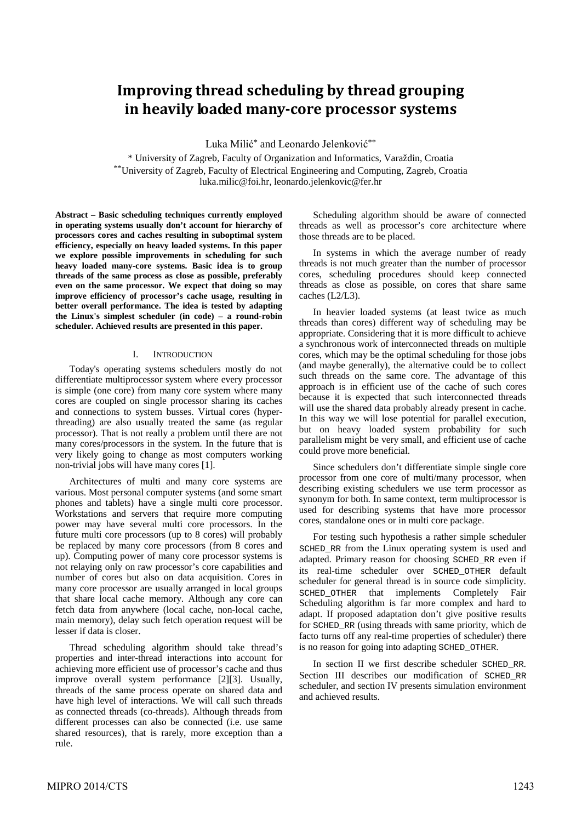# **Improving thread scheduling by thread grouping in heavily loaded many-core processor systems**

Luka Milić<sup>\*</sup> and Leonardo Jelenković<sup>\*\*</sup>

\* University of Zagreb, Faculty of Organization and Informatics, Varaždin, Croatia \*\*University of Zagreb, Faculty of Electrical Engineering and Computing, Zagreb, Croatia luka.milic@foi.hr, leonardo.jelenkovic@fer.hr

**Abstract – Basic scheduling techniques currently employed in operating systems usually don't account for hierarchy of processors cores and caches resulting in suboptimal system efficiency, especially on heavy loaded systems. In this paper we explore possible improvements in scheduling for such heavy loaded many-core systems. Basic idea is to group threads of the same process as close as possible, preferably even on the same processor. We expect that doing so may improve efficiency of processor's cache usage, resulting in better overall performance. The idea is tested by adapting the Linux's simplest scheduler (in code) – a round-robin scheduler. Achieved results are presented in this paper.**

#### I. INTRODUCTION

Today's operating systems schedulers mostly do not differentiate multiprocessor system where every processor is simple (one core) from many core system where many cores are coupled on single processor sharing its caches and connections to system busses. Virtual cores (hyperthreading) are also usually treated the same (as regular processor). That is not really a problem until there are not many cores/processors in the system. In the future that is very likely going to change as most computers working non-trivial jobs will have many cores [1].

Architectures of multi and many core systems are various. Most personal computer systems (and some smart phones and tablets) have a single multi core processor. Workstations and servers that require more computing power may have several multi core processors. In the future multi core processors (up to 8 cores) will probably be replaced by many core processors (from 8 cores and up). Computing power of many core processor systems is not relaying only on raw processor's core capabilities and number of cores but also on data acquisition. Cores in many core processor are usually arranged in local groups that share local cache memory. Although any core can fetch data from anywhere (local cache, non-local cache, main memory), delay such fetch operation request will be lesser if data is closer.

Thread scheduling algorithm should take thread's properties and inter-thread interactions into account for achieving more efficient use of processor's cache and thus improve overall system performance [2][3]. Usually, threads of the same process operate on shared data and have high level of interactions. We will call such threads as connected threads (co-threads). Although threads from different processes can also be connected (i.e. use same shared resources), that is rarely, more exception than a rule.

Scheduling algorithm should be aware of connected threads as well as processor's core architecture where those threads are to be placed.

In systems in which the average number of ready threads is not much greater than the number of processor cores, scheduling procedures should keep connected threads as close as possible, on cores that share same caches (L2/L3).

In heavier loaded systems (at least twice as much threads than cores) different way of scheduling may be appropriate. Considering that it is more difficult to achieve a synchronous work of interconnected threads on multiple cores, which may be the optimal scheduling for those jobs (and maybe generally), the alternative could be to collect such threads on the same core. The advantage of this approach is in efficient use of the cache of such cores because it is expected that such interconnected threads will use the shared data probably already present in cache. In this way we will lose potential for parallel execution, but on heavy loaded system probability for such parallelism might be very small, and efficient use of cache could prove more beneficial.

Since schedulers don't differentiate simple single core processor from one core of multi/many processor, when describing existing schedulers we use term processor as synonym for both. In same context, term multiprocessor is used for describing systems that have more processor cores, standalone ones or in multi core package.

For testing such hypothesis a rather simple scheduler SCHED\_RR from the Linux operating system is used and adapted. Primary reason for choosing SCHED\_RR even if its real-time scheduler over SCHED\_OTHER default scheduler for general thread is in source code simplicity. SCHED\_OTHER that implements Completely Fair Scheduling algorithm is far more complex and hard to adapt. If proposed adaptation don't give positive results for SCHED\_RR (using threads with same priority, which de facto turns off any real-time properties of scheduler) there is no reason for going into adapting SCHED\_OTHER.

In section II we first describe scheduler SCHED\_RR. Section III describes our modification of SCHED\_RR scheduler, and section IV presents simulation environment and achieved results.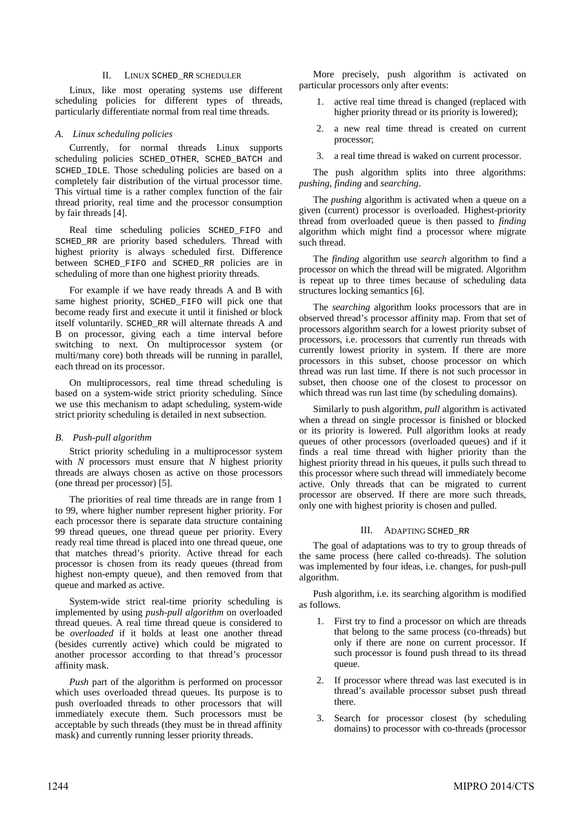#### II. LINUX SCHED\_RR SCHEDULER

Linux, like most operating systems use different scheduling policies for different types of threads, particularly differentiate normal from real time threads.

## *A. Linux scheduling policies*

Currently, for normal threads Linux supports scheduling policies SCHED\_OTHER, SCHED\_BATCH and SCHED IDLE. Those scheduling policies are based on a completely fair distribution of the virtual processor time. This virtual time is a rather complex function of the fair thread priority, real time and the processor consumption by fair threads [4].

Real time scheduling policies SCHED\_FIFO and SCHED\_RR are priority based schedulers. Thread with highest priority is always scheduled first. Difference between SCHED\_FIFO and SCHED\_RR policies are in scheduling of more than one highest priority threads.

For example if we have ready threads A and B with same highest priority, SCHED FIFO will pick one that become ready first and execute it until it finished or block itself voluntarily. SCHED\_RR will alternate threads A and B on processor, giving each a time interval before switching to next. On multiprocessor system (or multi/many core) both threads will be running in parallel, each thread on its processor.

On multiprocessors, real time thread scheduling is based on a system-wide strict priority scheduling. Since we use this mechanism to adapt scheduling, system-wide strict priority scheduling is detailed in next subsection.

# *B. Push-pull algorithm*

Strict priority scheduling in a multiprocessor system with *N* processors must ensure that *N* highest priority threads are always chosen as active on those processors (one thread per processor) [5].

The priorities of real time threads are in range from 1 to 99, where higher number represent higher priority. For each processor there is separate data structure containing 99 thread queues, one thread queue per priority. Every ready real time thread is placed into one thread queue, one that matches thread's priority. Active thread for each processor is chosen from its ready queues (thread from highest non-empty queue), and then removed from that queue and marked as active.

System-wide strict real-time priority scheduling is implemented by using *push-pull algorithm* on overloaded thread queues. A real time thread queue is considered to be *overloaded* if it holds at least one another thread (besides currently active) which could be migrated to another processor according to that thread's processor affinity mask.

*Push* part of the algorithm is performed on processor which uses overloaded thread queues. Its purpose is to push overloaded threads to other processors that will immediately execute them. Such processors must be acceptable by such threads (they must be in thread affinity mask) and currently running lesser priority threads.

More precisely, push algorithm is activated on particular processors only after events:

- 1. active real time thread is changed (replaced with higher priority thread or its priority is lowered);
- 2. a new real time thread is created on current processor;
- 3. a real time thread is waked on current processor.

The push algorithm splits into three algorithms: *pushing*, *finding* and *searching*.

The *pushing* algorithm is activated when a queue on a given (current) processor is overloaded. Highest-priority thread from overloaded queue is then passed to *finding* algorithm which might find a processor where migrate such thread.

The *finding* algorithm use *search* algorithm to find a processor on which the thread will be migrated. Algorithm is repeat up to three times because of scheduling data structures locking semantics [6].

The *searching* algorithm looks processors that are in observed thread's processor affinity map. From that set of processors algorithm search for a lowest priority subset of processors, i.e. processors that currently run threads with currently lowest priority in system. If there are more processors in this subset, choose processor on which thread was run last time. If there is not such processor in subset, then choose one of the closest to processor on which thread was run last time (by scheduling domains).

Similarly to push algorithm, *pull* algorithm is activated when a thread on single processor is finished or blocked or its priority is lowered. Pull algorithm looks at ready queues of other processors (overloaded queues) and if it finds a real time thread with higher priority than the highest priority thread in his queues, it pulls such thread to this processor where such thread will immediately become active. Only threads that can be migrated to current processor are observed. If there are more such threads, only one with highest priority is chosen and pulled.

## III. ADAPTING SCHED\_RR

The goal of adaptations was to try to group threads of the same process (here called co-threads). The solution was implemented by four ideas, i.e. changes, for push-pull algorithm.

Push algorithm, i.e. its searching algorithm is modified as follows.

- 1. First try to find a processor on which are threads that belong to the same process (co-threads) but only if there are none on current processor. If such processor is found push thread to its thread queue.
- 2. If processor where thread was last executed is in thread's available processor subset push thread there.
- 3. Search for processor closest (by scheduling domains) to processor with co-threads (processor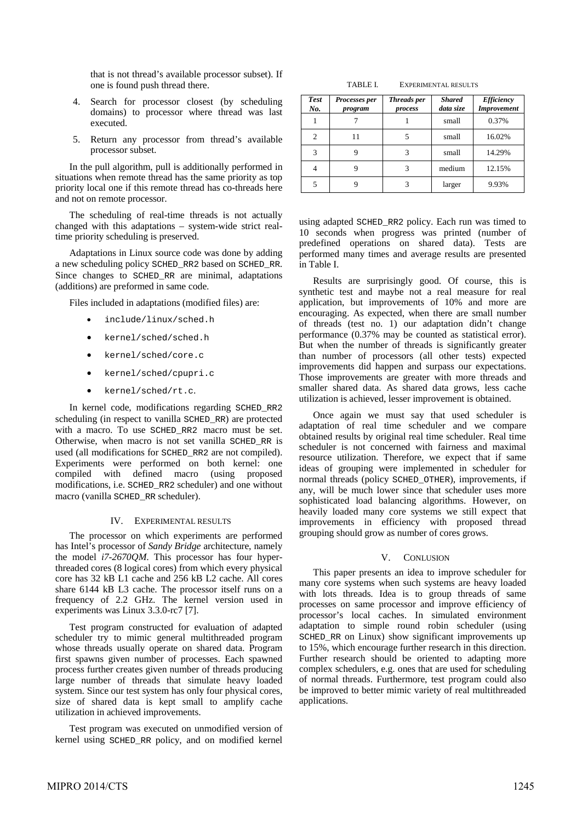that is not thread's available processor subset). If one is found push thread there.

- 4. Search for processor closest (by scheduling domains) to processor where thread was last executed.
- 5. Return any processor from thread's available processor subset.

In the pull algorithm, pull is additionally performed in situations when remote thread has the same priority as top priority local one if this remote thread has co-threads here and not on remote processor.

The scheduling of real-time threads is not actually changed with this adaptations – system-wide strict realtime priority scheduling is preserved.

Adaptations in Linux source code was done by adding a new scheduling policy SCHED\_RR2 based on SCHED\_RR. Since changes to SCHED\_RR are minimal, adaptations (additions) are preformed in same code.

Files included in adaptations (modified files) are:

- include/linux/sched.h
- kernel/sched/sched.h
- kernel/sched/core.c
- kernel/sched/cpupri.c
- kernel/sched/rt.c.

In kernel code, modifications regarding SCHED\_RR2 scheduling (in respect to vanilla SCHED\_RR) are protected with a macro. To use SCHED\_RR2 macro must be set. Otherwise, when macro is not set vanilla SCHED\_RR is used (all modifications for SCHED\_RR2 are not compiled). Experiments were performed on both kernel: one compiled with defined macro (using proposed modifications, i.e. SCHED\_RR2 scheduler) and one without macro (vanilla SCHED\_RR scheduler).

## IV. EXPERIMENTAL RESULTS

The processor on which experiments are performed has Intel's processor of *Sandy Bridge* architecture, namely the model *i7-2670QM*. This processor has four hyperthreaded cores (8 logical cores) from which every physical core has 32 kB L1 cache and 256 kB L2 cache. All cores share 6144 kB L3 cache. The processor itself runs on a frequency of 2.2 GHz. The kernel version used in experiments was Linux 3.3.0-rc7 [7].

Test program constructed for evaluation of adapted scheduler try to mimic general multithreaded program whose threads usually operate on shared data. Program first spawns given number of processes. Each spawned process further creates given number of threads producing large number of threads that simulate heavy loaded system. Since our test system has only four physical cores, size of shared data is kept small to amplify cache utilization in achieved improvements.

Test program was executed on unmodified version of kernel using SCHED\_RR policy, and on modified kernel

TABLE I. EXPERIMENTAL RESULTS

| <b>Test</b><br>No. | Processes per<br>program | <b>Threads</b> per<br>process | <b>Shared</b><br>data size | <b>Efficiency</b><br><b>Improvement</b> |
|--------------------|--------------------------|-------------------------------|----------------------------|-----------------------------------------|
|                    |                          |                               | small                      | 0.37%                                   |
| 2                  | 11                       |                               | small                      | 16.02%                                  |
| 3                  |                          |                               | small                      | 14.29%                                  |
| 4                  |                          |                               | medium                     | 12.15%                                  |
| 5                  |                          |                               | larger                     | 9.93%                                   |

using adapted SCHED\_RR2 policy. Each run was timed to 10 seconds when progress was printed (number of predefined operations on shared data). Tests are performed many times and average results are presented in Table I.

Results are surprisingly good. Of course, this is synthetic test and maybe not a real measure for real application, but improvements of 10% and more are encouraging. As expected, when there are small number of threads (test no. 1) our adaptation didn't change performance (0.37% may be counted as statistical error). But when the number of threads is significantly greater than number of processors (all other tests) expected improvements did happen and surpass our expectations. Those improvements are greater with more threads and smaller shared data. As shared data grows, less cache utilization is achieved, lesser improvement is obtained.

Once again we must say that used scheduler is adaptation of real time scheduler and we compare obtained results by original real time scheduler. Real time scheduler is not concerned with fairness and maximal resource utilization. Therefore, we expect that if same ideas of grouping were implemented in scheduler for normal threads (policy SCHED\_OTHER), improvements, if any, will be much lower since that scheduler uses more sophisticated load balancing algorithms. However, on heavily loaded many core systems we still expect that improvements in efficiency with proposed thread grouping should grow as number of cores grows.

## V. CONLUSION

This paper presents an idea to improve scheduler for many core systems when such systems are heavy loaded with lots threads. Idea is to group threads of same processes on same processor and improve efficiency of processor's local caches. In simulated environment adaptation to simple round robin scheduler (using SCHED\_RR on Linux) show significant improvements up to 15%, which encourage further research in this direction. Further research should be oriented to adapting more complex schedulers, e.g. ones that are used for scheduling of normal threads. Furthermore, test program could also be improved to better mimic variety of real multithreaded applications.